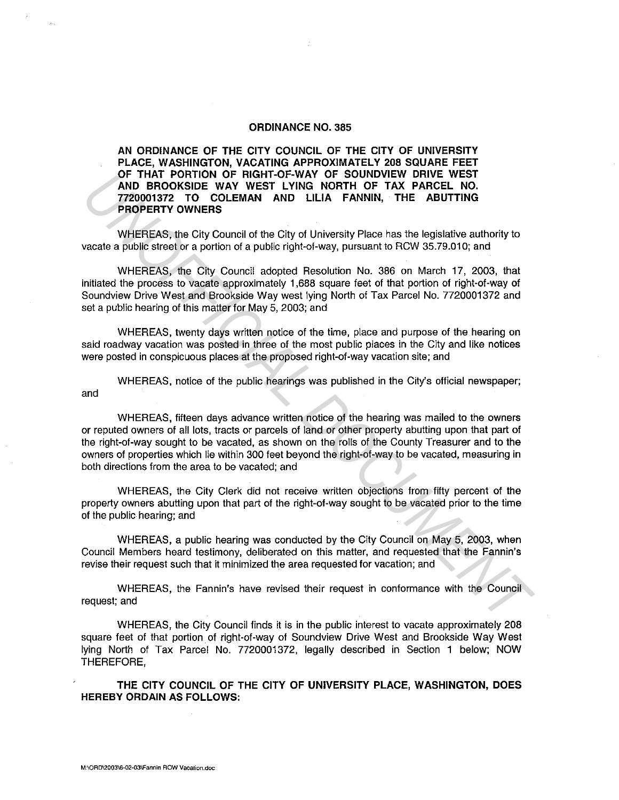## **ORDINANCE NO. 385**

**AN ORDINANCE OF THE CITY COUNCIL OF THE CITY OF UNIVERSITY PLACE, WASHINGTON, VACATING APPROXIMATELY 208 SQUARE FEET OF THAT PORTION OF RIGHT-OF-WAY OF SOUNDVIEW DRIVE WEST AND BROOKSIDE WAY WEST LYING NORTH OF TAX PARCEL NO. 7720001372 TO COLEMAN AND LILIA FANNIN, THE ABUTTING PROPERTY OWNERS** 

WHEREAS, the City Council of the City of University Place has the legislative authority to vacate a public street or a portion of a public right-of-way, pursuant to RCW 35.79.01 O; and

WHEREAS, the City Council adopted Resolution No. 386 on March 17, 2003, that initiated the process to vacate approximately 1,688 square feet of that portion of right-of-way of Soundview Drive West and Brookside Way west lying North of Tax Parcel No. 7720001372 and set a public hearing of this matter for May 5, 2003; and

WHEREAS, twenty days written notice of the time, place and purpose of the hearing on said roadway vacation was posted in three of the most public places in the City and like notices were posted in conspicuous places at the proposed right-of-way vacation site; and

WHEREAS, notice of the public hearings was published in the City's official newspaper; and

WHEREAS, fifteen days advance written notice of the hearing was mailed to the owners or reputed owners of all lots, tracts or parcels of land or other property abutting upon that part of the right-of-way sought to be vacated, as shown on the rolls of the County Treasurer and to the owners of properties which lie within 300 feet beyond the right-of-way to be vacated, measuring in both directions from the area to be vacated; and **UP THAT PORTION OF HIGHT-OF WAY OF SUDMOVEW DRIVE WEST<br>
<b>AND BROOKSIDE WAY WEST LYNKG NORTH OF TAX PARCEL NO.**<br> **TROOD1372 TO COLEMANT AND LILIA FANNIN, THE ABUTTING**<br> **TROOD1372 TO COLEMANT AND LILIA FANNIN, THE ABUTTING** 

WHEREAS, the City Clerk did not receive written objections from fifty percent of the property owners abutting upon that part of the right-of-way sought to be vacated prior to the time of the public hearing; and

WHEREAS, a public hearing was conducted by the City Council on May 5, 2003, when Council Members heard testimony, deliberated on this matter, and requested that the Fannin's revise their request such that it minimized the area requested for vacation; and

WHEREAS, the Fannin's have revised their request in conformance with the Council request; and

WHEREAS, the City Council finds it is in the public interest to vacate approximately 208 square feet of that portion of right-of-way of Soundview Drive West and Brookside Way West lying North of Tax Parcel No. 7720001372, legally described in Section 1 below; NOW THEREFORE,

**THE CITY COUNCIL OF THE CITY OF UNIVERSITY PLACE, WASHINGTON, DOES HEREBY ORDAIN AS FOLLOWS:**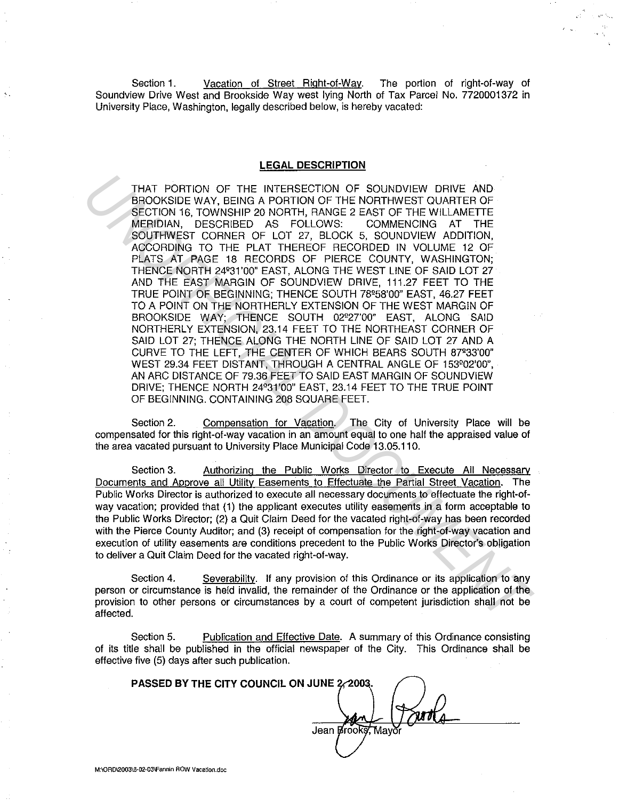Section 1. Vacation of Street Right-of-Way. The portion of right-of-way of Soundview Drive West and Brookside Way west lying North of Tax Parcel No. 7720001372 in University Place, Washington, legally described below, is hereby vacated:

## **LEGAL DESCRIPTION**

THAT PORTION OF THE INTERSECTION OF SOUNDVIEW DRIVE AND BROOKSIDE WAY, BEING A PORTION OF THE NORTHWEST QUARTER OF SECTION 16, TOWNSHIP 20 NORTH, RANGE 2 EAST OF THE WILLAMETIE MERIDIAN, DESCRIBED AS FOLLOWS: COMMENCING AT THE SOUTHWEST CORNER OF LOT 27, BLOCK 5, SOUNDVIEW ADDITION, ACCORDING TO THE PLAT THEREOF RECORDED IN VOLUME 12 OF PLATS AT PAGE 18 RECORDS OF PIERCE COUNTY, WASHINGTON; THENCE NORTH 24°31'00" EAST, ALONG THE WEST LINE OF SAID LOT 27 AND THE EAST MARGIN OF SOUNDVIEW DRIVE, 111.27 FEET TO THE TRUE POINT OF BEGINNING; THENCE SOUTH 78°58'00" EAST, 46.27 FEET TO A POINT ON THE NORTHERLY EXTENSION OF THE WEST MARGIN OF BROOKSIDE WAY; THENCE SOUTH 02°27'00" EAST, ALONG SAID NORTHERLY EXTENSION, 23.14 FEET TO THE NORTHEAST CORNER OF SAID LOT 27; THENCE ALONG THE NORTH LINE OF SAID LOT 27 AND A CURVE TO THE LEFT, THE CENTER OF WHICH BEARS SOUTH 87°33'00" WEST 29.34 FEET DISTANT, THROUGH A CENTRAL ANGLE OF 153°02'00", AN ARC DISTANCE OF 79.36 FEET TO SAID EAST MARGIN OF SOUNDVIEW DRIVE; THENCE NORTH 24°31'00" EAST, 23.14 FEET TO THE TRUE POINT OF BEGINNING. CONTAINING 208 SQUARE FEET. THAT PORTION OF THE INTERSECTION OF SOUNDVIEW DRIVE AND BROOKSIDE WAY ERROPTION CONTERT OF THE MICRIMITER OF THE WILLAMETER MEDIDIAN, DESCRIBED AS POLLOWS: COMMENTOR AT THE MEDIDIAN CONTERT OF THE WITHOUT AND CONTERT OF TH

Section 2. Compensation for Vacation. The City of University Place will be compensated for this right-of-way vacation in an amount equal to one half the appraised value of the area vacated pursuant to University Place Municipal Code 13.05.110.

Section 3. Authorizing the Public Works Director to Execute All Necessary Documents and Approve all Utility Easements to Effectuate the Partial Street Vacation. The Public Works Director is authorized to execute all necessary documents to effectuate the right-ofway vacation; provided that (1) the applicant executes utility easements in a form acceptable to the Public Works Director; (2) a Quit Claim Deed for the vacated right-of-way has been recorded with the Pierce County Auditor; and (3) receipt of compensation for the right-of-way vacation and execution of utility easements are conditions precedent to the Public Works Director's obligation to deliver a Quit Claim Deed for the vacated right-of-way.

Section 4. Severability. If any provision of this Ordinance or its application to any person or circumstance is held invalid, the remainder of the Ordinance or the application of the provision to other persons or circumstances by a court of competent jurisdiction shall not be affected.

Section 5. Publication and Effective Date. A summary of this Ordinance consisting of its title shall be published in the official newspaper of the City. This Ordinance shall be effective five (5) days after such publication.

**PASSED BY THE CITY COUNCIL ON JUNE**  Jean Brooks, Mavor